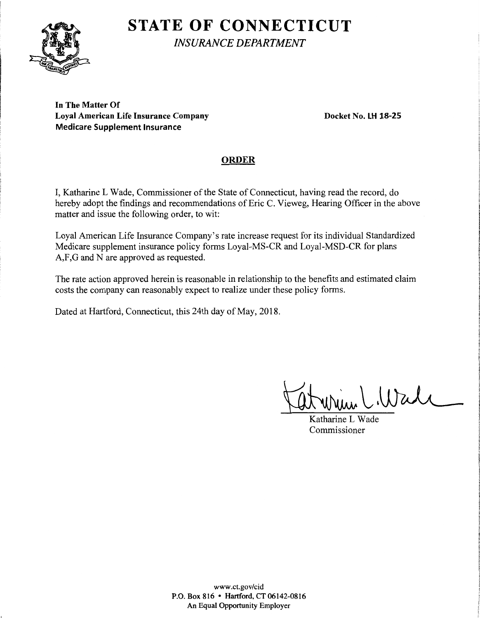# **STATE OF CONNECTICUT**



*INSURANCE DEPARTMENT* 

**In The Matter Of**  Loyal American Life Insurance Company **Docket No. LH 18-25 Medicare Supplement Insurance** 

## **ORDER**

I, Katharine L Wade, Commissioner of the State of Connecticut, having read the record, do hereby adopt the findings and recommendations of Eric C. Vieweg, Hearing Officer in the above matter and issue the following order, to wit:

Loyal American Life Insurance Company's rate increase request for its individual Standardized Medicare supplement insurance policy forms Loyal-MS-CR and Loyal-MSD-CR for plans A,F,G and N are approved as requested.

The rate action approved herein is reasonable in relationship to the benefits and estimated claim costs the company can reasonably expect to realize under these policy forms.

Dated at Hartford, Connecticut, this 24th day of May, 2018.

 $\dot{u}$  (Wall

Katharine L Wade Commissioner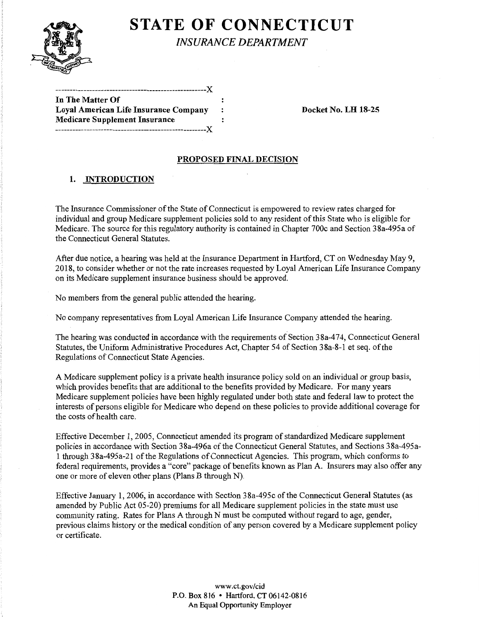

**STATE OF CONNECTICUT** 

*INSURANCE DEPARTMENT* 

| In The Matter Of                      |  |
|---------------------------------------|--|
| Loyal American Life Insurance Company |  |
| <b>Medicare Supplement Insurance</b>  |  |
|                                       |  |

-----------------------------------------------------)(

**Loyal American Life Insurance Company Docket No. LH 18-25** 

### **PROPOSED FINAL DECISION**

### **1. INTRODUCTION**

The Insurance Commissioner of the State of Connecticut is empowered to review rates charged for individual and group Medicare supplement policies sold to any resident of this State who is eligible for Medicare. The source for this regulatory authority is contained in Chapter 700c and Section 38a-495a of the Connecticut General Statutes.

After due notice, a hearing was held at the Insurance Department in Hartford, CT on Wednesday May 9, 2018, to consider whether or not the rate increases requested by Loyal American Life Insurance Company on its Medicare supplement insurance business should be approved.

No members from the general public attended the hearing.

No company representatives from Loyal American Life Insurance Company attended the hearing.

The hearing was conducted in accordance with the requirements of Section 38a-474, Connecticut General Statutes, the Uniform Administrative Procedures Act, Chapter 54 of Section 38a-8-1 et seq. of the Regulations of Connecticut State Agencies.

A Medicare supplement policy is a private health insurance policy sold on an individual or group basis, which provides benefits that are additional to the benefits provided by Medicare. For many years Medicare supplement policies have been highly regulated under both state and federal law to protect the interests of persons eligible for Medicare who depend on these policies to provide additional coverage for the costs of health care.

Effective December 1, 2005, Connecticut amended its program of standardized Medicare supplement policies in accordance with Section 38a-496a of the Connecticut General Statutes, and Sections 38a-495a-1 through 38a-495a-21 ofthe Regulations of Connecticut Agencies. This program, which conforms to federal requirements, provides a "core" package of benefits known as Plan A. Insurers may also offer any one or more of eleven other plans (Plans B through N).

Effective January 1, 2006, in accordance with Section 38a-495c of the Connecticut General Statutes (as amended by Public Act 05-20) premiums for all Medicare supplement policies in the state must use community rating. Rates for Plans A through N must be computed without regard to age, gender, previous claims history or the medical condition of any person covered by a Medicare supplement policy or certificate.

> www.ct.gov/cid P.O. Box 816 • Hartford, CT 06142-0816 An Equal Opportunity Employer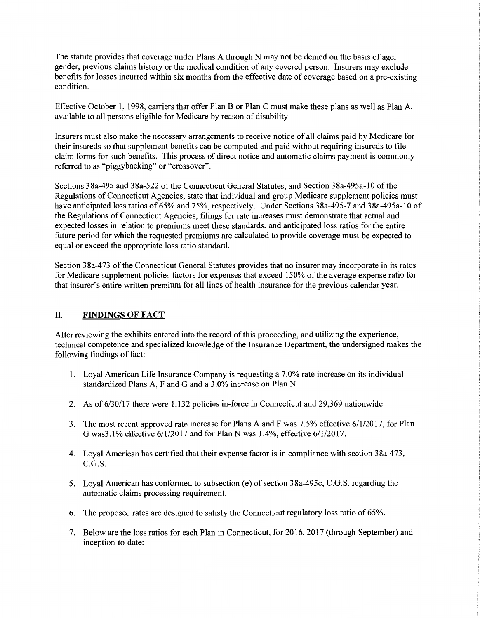The statute provides that coverage under Plans A through N may not be denied on the basis of age, gender, previous claims history or the medical condition of any covered person. Insurers may exclude benefits for losses incurred within six months from the effective date of coverage based on a pre-existing condition.

Effective October 1, 1998, carriers that offer Plan B or Plan C must make these plans as well as Plan A, available to all persons eligible for Medicare by reason of disability.

Insurers must also make the necessary arrangements to receive notice of all claims paid by Medicare for their insureds so that supplement benefits can be computed and paid without requiring insureds to file claim forms for such benefits. This process of direct notice and automatic claims payment is commonly referred to as "piggybacking" or "crossover".

Sections 38a-495 and 38a-522 of the Connecticut General Statutes, and Section 38a-495a-10 of the Regulations of Connecticut Agencies, state that individual and group Medicare supplement policies must have anticipated loss ratios of 65% and 75%, respectively. Under Sections 38a-495-7 and 38a-495a-10 of the Regulations of Connecticut Agencies, filings for rate increases must demonstrate that actual and expected losses in relation to premiums meet these standards, and anticipated loss ratios for the entire future period for which the requested premiums are calculated to provide coverage must be expected to equal or exceed the appropriate loss ratio standard.

Section 38a-473 of the Connecticut General Statutes provides that no insurer may incorporate in its rates for Medicare supplement policies factors for expenses that exceed 150% of the average expense ratio for that insurer's entire written premium for all lines of health insurance for the previous calendar year.

### II. **FINDINGS OF FACT**

After reviewing the exhibits entered into the record of this proceeding, and utilizing the experience, technical competence and specialized knowledge of the Insurance Department, the undersigned makes the following findings of fact:

- 1. Loyal American Life Insurance Company is requesting a 7.0% rate increase on its individual standardized Plans A, F and G and a 3.0% increase on Plan N.
- 2. As of 6/30/17 there were 1,132 policies in-force in Connecticut and 29,369 nationwide.
- 3. The most recent approved rate increase for Plans A and F was 7.5% effective 6/1/2017, for Plan G was3 .1 % effective 6/1/2017 and for Plan N was 1.4%, effective 6/1/2017.
- 4. Loyal American has certified that their expense factor is in compliance with section 38a-4 73, C.G.S.
- 5. Loyal American has conformed to subsection (e) of section 38a-495c, C.G.S. regarding the automatic claims processing requirement.
- 6. The proposed rates are designed to satisfy the Connecticut regulatory loss ratio of 65%.
- 7. Below are the loss ratios for each Plan in Connecticut, for 2016, 2017 (through September) and inception-to-date: